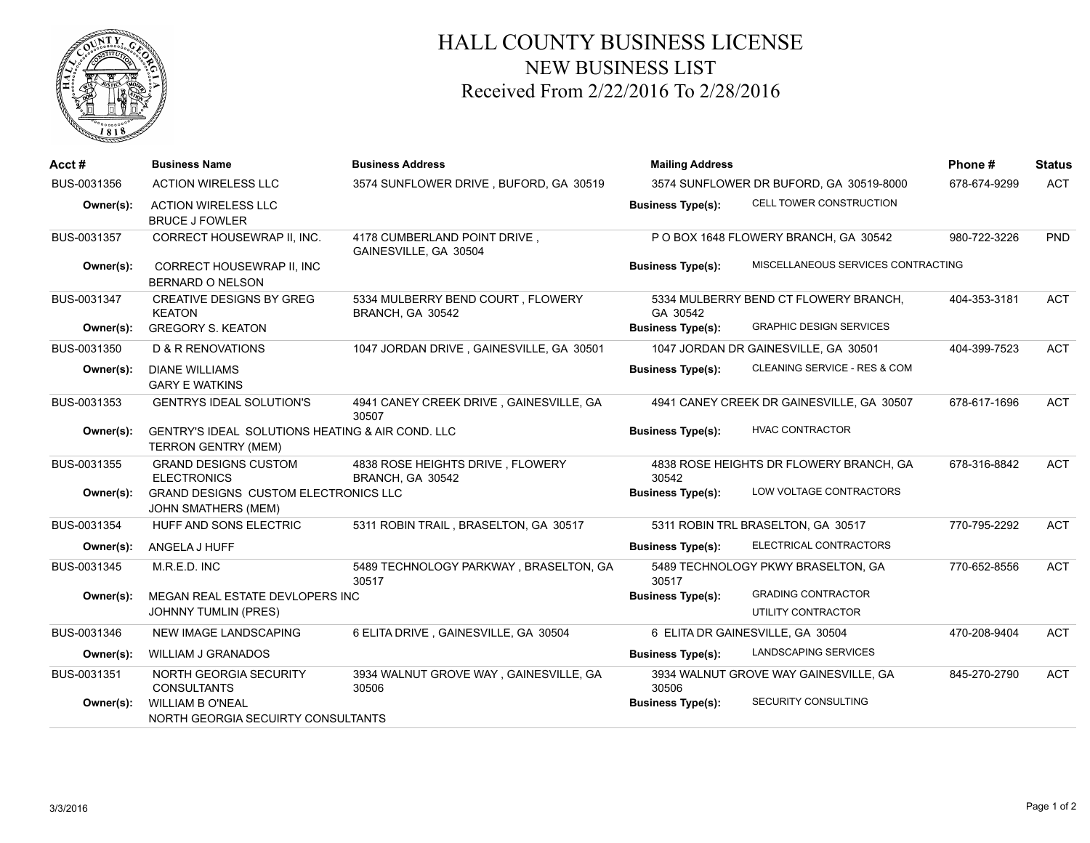

## HALL COUNTY BUSINESS LICENSE NEW BUSINESS LIST Received From 2/22/2016 To 2/28/2016

| Acct#       | <b>Business Name</b>                                                    | <b>Business Address</b>                               | <b>Mailing Address</b>                  | Phone#                                    | <b>Status</b> |            |
|-------------|-------------------------------------------------------------------------|-------------------------------------------------------|-----------------------------------------|-------------------------------------------|---------------|------------|
| BUS-0031356 | <b>ACTION WIRELESS LLC</b>                                              | 3574 SUNFLOWER DRIVE, BUFORD, GA 30519                | 3574 SUNFLOWER DR BUFORD, GA 30519-8000 |                                           | 678-674-9299  | <b>ACT</b> |
| Owner(s):   | <b>ACTION WIRELESS LLC</b><br><b>BRUCE J FOWLER</b>                     |                                                       | <b>Business Type(s):</b>                | CELL TOWER CONSTRUCTION                   |               |            |
| BUS-0031357 | CORRECT HOUSEWRAP II, INC.                                              | 4178 CUMBERLAND POINT DRIVE,<br>GAINESVILLE, GA 30504 |                                         | P O BOX 1648 FLOWERY BRANCH, GA 30542     | 980-722-3226  | <b>PND</b> |
| Owner(s):   | CORRECT HOUSEWRAP II, INC<br><b>BERNARD O NELSON</b>                    |                                                       | <b>Business Type(s):</b>                | MISCELLANEOUS SERVICES CONTRACTING        |               |            |
| BUS-0031347 | <b>CREATIVE DESIGNS BY GREG</b><br><b>KEATON</b>                        | 5334 MULBERRY BEND COURT, FLOWERY<br>BRANCH, GA 30542 | GA 30542                                | 5334 MULBERRY BEND CT FLOWERY BRANCH,     | 404-353-3181  | <b>ACT</b> |
| Owner(s):   | <b>GREGORY S. KEATON</b>                                                |                                                       | <b>Business Type(s):</b>                | <b>GRAPHIC DESIGN SERVICES</b>            |               |            |
| BUS-0031350 | <b>D &amp; R RENOVATIONS</b>                                            | 1047 JORDAN DRIVE, GAINESVILLE, GA 30501              |                                         | 1047 JORDAN DR GAINESVILLE, GA 30501      | 404-399-7523  | <b>ACT</b> |
| Owner(s):   | <b>DIANE WILLIAMS</b><br><b>GARY E WATKINS</b>                          |                                                       | <b>Business Type(s):</b>                | CLEANING SERVICE - RES & COM              |               |            |
| BUS-0031353 | <b>GENTRYS IDEAL SOLUTION'S</b>                                         | 4941 CANEY CREEK DRIVE, GAINESVILLE, GA<br>30507      |                                         | 4941 CANEY CREEK DR GAINESVILLE, GA 30507 | 678-617-1696  | <b>ACT</b> |
| Owner(s):   | GENTRY'S IDEAL SOLUTIONS HEATING & AIR COND. LLC<br>TERRON GENTRY (MEM) |                                                       | <b>Business Type(s):</b>                | <b>HVAC CONTRACTOR</b>                    |               |            |
| BUS-0031355 | <b>GRAND DESIGNS CUSTOM</b><br><b>ELECTRONICS</b>                       | 4838 ROSE HEIGHTS DRIVE, FLOWERY<br>BRANCH, GA 30542  | 30542                                   | 4838 ROSE HEIGHTS DR FLOWERY BRANCH, GA   | 678-316-8842  | <b>ACT</b> |
| Owner(s):   | GRAND DESIGNS CUSTOM ELECTRONICS LLC<br>JOHN SMATHERS (MEM)             |                                                       | <b>Business Type(s):</b>                | LOW VOLTAGE CONTRACTORS                   |               |            |
| BUS-0031354 | <b>HUFF AND SONS ELECTRIC</b>                                           | 5311 ROBIN TRAIL, BRASELTON, GA 30517                 |                                         | 5311 ROBIN TRL BRASELTON, GA 30517        | 770-795-2292  | <b>ACT</b> |
| Owner(s):   | ANGELA J HUFF                                                           |                                                       | <b>Business Type(s):</b>                | ELECTRICAL CONTRACTORS                    |               |            |
| BUS-0031345 | M.R.E.D. INC                                                            | 5489 TECHNOLOGY PARKWAY, BRASELTON, GA<br>30517       | 30517                                   | 5489 TECHNOLOGY PKWY BRASELTON, GA        | 770-652-8556  | <b>ACT</b> |
| Owner(s):   | MEGAN REAL ESTATE DEVLOPERS INC                                         |                                                       | <b>Business Type(s):</b>                | <b>GRADING CONTRACTOR</b>                 |               |            |
|             | <b>JOHNNY TUMLIN (PRES)</b>                                             |                                                       |                                         | UTILITY CONTRACTOR                        |               |            |
| BUS-0031346 | <b>NEW IMAGE LANDSCAPING</b>                                            | 6 ELITA DRIVE, GAINESVILLE, GA 30504                  |                                         | 6 ELITA DR GAINESVILLE, GA 30504          | 470-208-9404  | <b>ACT</b> |
| Owner(s):   | <b>WILLIAM J GRANADOS</b>                                               |                                                       | <b>Business Type(s):</b>                | <b>LANDSCAPING SERVICES</b>               |               |            |
| BUS-0031351 | NORTH GEORGIA SECURITY<br><b>CONSULTANTS</b>                            | 3934 WALNUT GROVE WAY, GAINESVILLE, GA<br>30506       | 30506                                   | 3934 WALNUT GROVE WAY GAINESVILLE, GA     | 845-270-2790  | <b>ACT</b> |
| Owner(s):   | <b>WILLIAM B O'NEAL</b><br>NORTH GEORGIA SECUIRTY CONSULTANTS           |                                                       | <b>Business Type(s):</b>                | SECURITY CONSULTING                       |               |            |